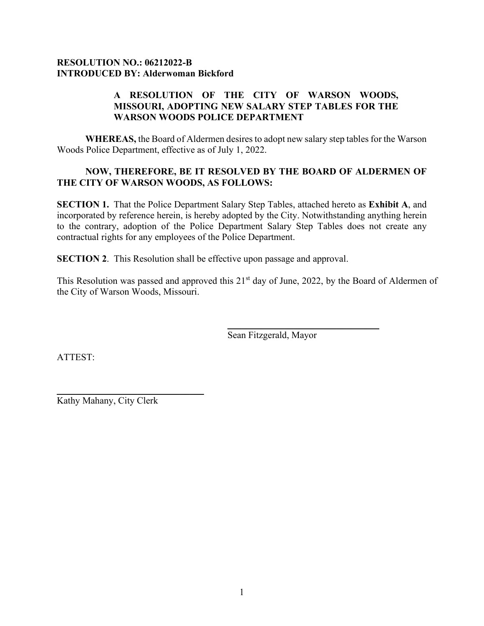## **RESOLUTION NO.: 06212022-B INTRODUCED BY: Alderwoman Bickford**

## **A RESOLUTION OF THE CITY OF WARSON WOODS, MISSOURI, ADOPTING NEW SALARY STEP TABLES FOR THE WARSON WOODS POLICE DEPARTMENT**

**WHEREAS,** the Board of Aldermen desires to adopt new salary step tables for the Warson Woods Police Department, effective as of July 1, 2022.

## **NOW, THEREFORE, BE IT RESOLVED BY THE BOARD OF ALDERMEN OF THE CITY OF WARSON WOODS, AS FOLLOWS:**

**SECTION 1.** That the Police Department Salary Step Tables, attached hereto as **Exhibit A**, and incorporated by reference herein, is hereby adopted by the City. Notwithstanding anything herein to the contrary, adoption of the Police Department Salary Step Tables does not create any contractual rights for any employees of the Police Department.

**SECTION 2**. This Resolution shall be effective upon passage and approval.

This Resolution was passed and approved this 21<sup>st</sup> day of June, 2022, by the Board of Aldermen of the City of Warson Woods, Missouri.

Sean Fitzgerald, Mayor

 $\overline{\phantom{a}}$  , where  $\overline{\phantom{a}}$  , where  $\overline{\phantom{a}}$  ,  $\overline{\phantom{a}}$  ,  $\overline{\phantom{a}}$  ,  $\overline{\phantom{a}}$  ,  $\overline{\phantom{a}}$  ,  $\overline{\phantom{a}}$  ,  $\overline{\phantom{a}}$  ,  $\overline{\phantom{a}}$  ,  $\overline{\phantom{a}}$  ,  $\overline{\phantom{a}}$  ,  $\overline{\phantom{a}}$  ,  $\overline{\phantom{a}}$  ,  $\overline{\phantom{a}}$  ,

ATTEST:

 $\overline{\phantom{a}}$  , where  $\overline{\phantom{a}}$  , where  $\overline{\phantom{a}}$  ,  $\overline{\phantom{a}}$  ,  $\overline{\phantom{a}}$  ,  $\overline{\phantom{a}}$  ,  $\overline{\phantom{a}}$  ,  $\overline{\phantom{a}}$  ,  $\overline{\phantom{a}}$  ,  $\overline{\phantom{a}}$  ,  $\overline{\phantom{a}}$  ,  $\overline{\phantom{a}}$  ,  $\overline{\phantom{a}}$  ,  $\overline{\phantom{a}}$  ,  $\overline{\phantom{a}}$  , Kathy Mahany, City Clerk